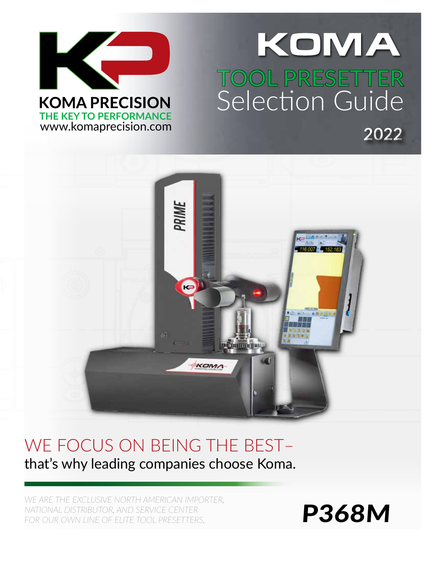

# KOMA .<br>مرکز بر **TOOL PRESETTER** Selection Guide A **2022**



# WE FOCUS ON BEING THE BEST– that's why leading companies choose Koma.

*WE ARE THE EXCLUSIVE NORTH AMERICAN IMPORTER, NATIONAL DISTRIBUTOR, AND SERVICE CENTER*  FOR OUR OWN LINE OF ELITE TOOL PRESETTERS.

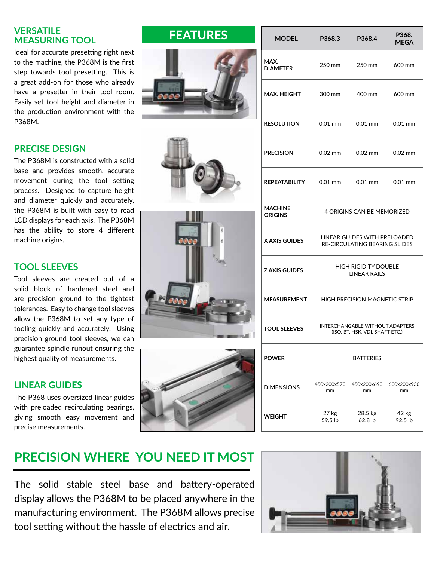#### **MEASURING TOOL VERSATILE**

Ideal for accurate presetting right next to the machine, the P368M is the first step towards tool presetting. This is a great add-on for those who already have a presetter in their tool room. Easily set tool height and diameter in the production environment with the P368M.

### **PRECISE DESIGN**

The P368M is constructed with a solid base and provides smooth, accurate movement during the tool setting process. Designed to capture height and diameter quickly and accurately, the P368M is built with easy to read LCD displays for each axis. The P368M has the ability to store 4 different machine origins.

#### **TOOL SLEEVES**

Tool sleeves are created out of a solid block of hardened steel and are precision ground to the tightest tolerances. Easy to change tool sleeves allow the P368M to set any type of tooling quickly and accurately. Using precision ground tool sleeves, we can guarantee spindle runout ensuring the highest quality of measurements.

#### **LINEAR GUIDES**

The P368 uses oversized linear guides with preloaded recirculating bearings, giving smooth easy movement and precise measurements.









| <b>MODEL</b>                     | P368.3                                                                    | P368.4             | P368.<br><b>MEGA</b> |
|----------------------------------|---------------------------------------------------------------------------|--------------------|----------------------|
| MAX.<br><b>DIAMETER</b>          | 250 mm                                                                    | 250 mm             | 600 mm               |
| MAX. HEIGHT                      | 300 mm                                                                    | 400 mm             | 600 mm               |
| <b>RESOLUTION</b>                | $0.01$ mm                                                                 | $0.01$ mm          | $0.01$ mm            |
| <b>PRECISION</b>                 | $0.02$ mm                                                                 | $0.02$ mm          | $0.02$ mm            |
| REPEATABILITY                    | $0.01$ mm                                                                 | $0.01$ mm          | $0.01$ mm            |
| <b>MACHINE</b><br><b>ORIGINS</b> | <b>4 ORIGINS CAN BE MEMORIZED</b>                                         |                    |                      |
| X AXIS GUIDES                    | LINEAR GUIDES WITH PRELOADED<br><b>RE-CIRCULATING BEARING SLIDES</b>      |                    |                      |
| <b>Z AXIS GUIDES</b>             | <b>HIGH RIGIDITY DOUBLE</b><br><b>LINEAR RAILS</b>                        |                    |                      |
| <b>MEASUREMENT</b>               | <b>HIGH PRECISION MAGNETIC STRIP</b>                                      |                    |                      |
| <b>TOOL SLEEVES</b>              | <b>INTERCHANGABLE WITHOUT ADAPTERS</b><br>(ISO, BT, HSK, VDI, SHAFT ETC.) |                    |                      |
| <b>POWER</b>                     | <b>BATTERIES</b>                                                          |                    |                      |
| <b>DIMENSIONS</b>                | 450x200x570<br>mm                                                         | 450x200x690<br>mm  | 600x200x930<br>mm    |
| WEIGHT                           | 27 kg<br>59.5 lb                                                          | 28.5 kg<br>62.8 lb | 42 kg<br>92.5 lb     |

# **PRECISION WHERE YOU NEED IT MOST**

The solid stable steel base and battery-operated display allows the P368M to be placed anywhere in the manufacturing environment. The P368M allows precise tool setting without the hassle of electrics and air.



## $F_{\text{EATURES}}$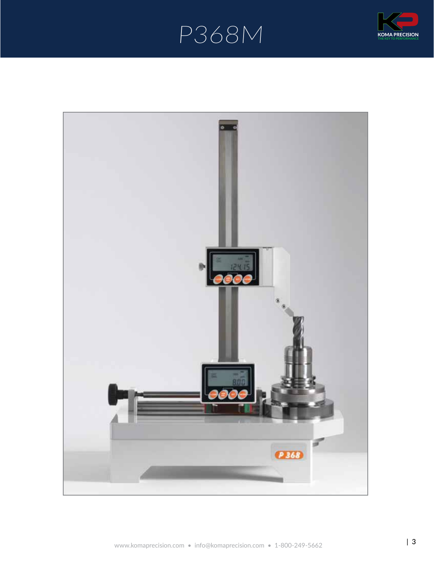# P368M **THE KEY TO PERFORMANCE**